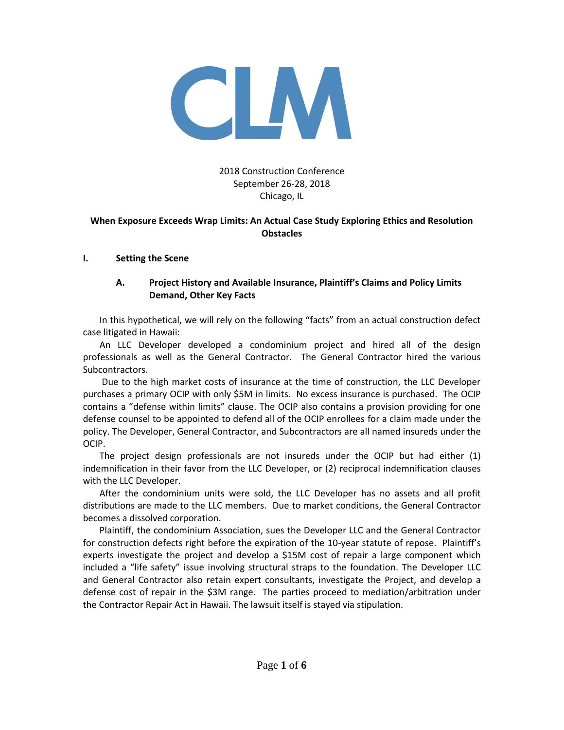

## 2018 Construction Conference September 26-28, 2018 Chicago, IL

#### **When Exposure Exceeds Wrap Limits: An Actual Case Study Exploring Ethics and Resolution Obstacles**

#### **I. Setting the Scene**

## **A. Project History and Available Insurance, Plaintiff's Claims and Policy Limits Demand, Other Key Facts**

In this hypothetical, we will rely on the following "facts" from an actual construction defect case litigated in Hawaii:

An LLC Developer developed a condominium project and hired all of the design professionals as well as the General Contractor. The General Contractor hired the various Subcontractors.

Due to the high market costs of insurance at the time of construction, the LLC Developer purchases a primary OCIP with only \$5M in limits. No excess insurance is purchased. The OCIP contains a "defense within limits" clause. The OCIP also contains a provision providing for one defense counsel to be appointed to defend all of the OCIP enrollees for a claim made under the policy. The Developer, General Contractor, and Subcontractors are all named insureds under the OCIP.

The project design professionals are not insureds under the OCIP but had either (1) indemnification in their favor from the LLC Developer, or (2) reciprocal indemnification clauses with the LLC Developer.

After the condominium units were sold, the LLC Developer has no assets and all profit distributions are made to the LLC members. Due to market conditions, the General Contractor becomes a dissolved corporation.

Plaintiff, the condominium Association, sues the Developer LLC and the General Contractor for construction defects right before the expiration of the 10-year statute of repose. Plaintiff's experts investigate the project and develop a \$15M cost of repair a large component which included a "life safety" issue involving structural straps to the foundation. The Developer LLC and General Contractor also retain expert consultants, investigate the Project, and develop a defense cost of repair in the \$3M range. The parties proceed to mediation/arbitration under the Contractor Repair Act in Hawaii. The lawsuit itself is stayed via stipulation.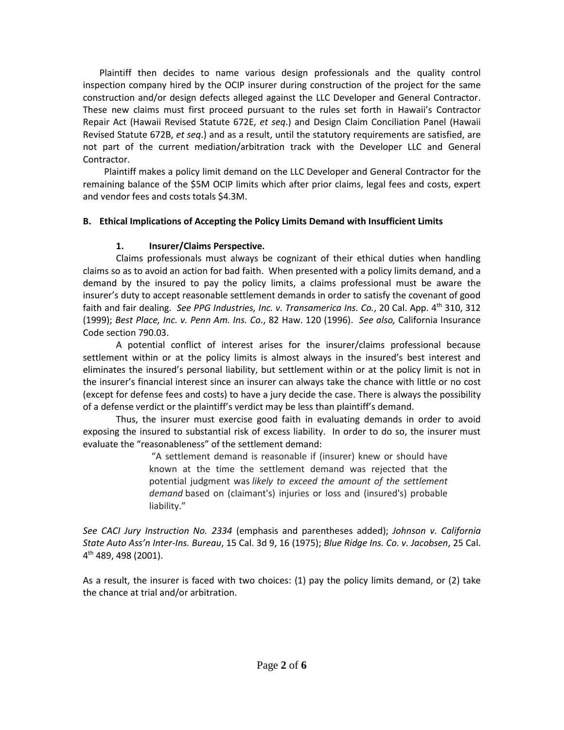Plaintiff then decides to name various design professionals and the quality control inspection company hired by the OCIP insurer during construction of the project for the same construction and/or design defects alleged against the LLC Developer and General Contractor. These new claims must first proceed pursuant to the rules set forth in Hawaii's Contractor Repair Act (Hawaii Revised Statute 672E, *et seq*.) and Design Claim Conciliation Panel (Hawaii Revised Statute 672B, *et seq*.) and as a result, until the statutory requirements are satisfied, are not part of the current mediation/arbitration track with the Developer LLC and General Contractor.

 Plaintiff makes a policy limit demand on the LLC Developer and General Contractor for the remaining balance of the \$5M OCIP limits which after prior claims, legal fees and costs, expert and vendor fees and costs totals \$4.3M.

### **B. Ethical Implications of Accepting the Policy Limits Demand with Insufficient Limits**

## **1. Insurer/Claims Perspective.**

Claims professionals must always be cognizant of their ethical duties when handling claims so as to avoid an action for bad faith. When presented with a policy limits demand, and a demand by the insured to pay the policy limits, a claims professional must be aware the insurer's duty to accept reasonable settlement demands in order to satisfy the covenant of good faith and fair dealing. *See PPG Industries, Inc. v. Transamerica Ins. Co.*, 20 Cal. App. 4th 310, 312 (1999); *Best Place, Inc. v. Penn Am. Ins. Co.*, 82 Haw. 120 (1996). *See also,* California Insurance Code section 790.03.

A potential conflict of interest arises for the insurer/claims professional because settlement within or at the policy limits is almost always in the insured's best interest and eliminates the insured's personal liability, but settlement within or at the policy limit is not in the insurer's financial interest since an insurer can always take the chance with little or no cost (except for defense fees and costs) to have a jury decide the case. There is always the possibility of a defense verdict or the plaintiff's verdict may be less than plaintiff's demand.

Thus, the insurer must exercise good faith in evaluating demands in order to avoid exposing the insured to substantial risk of excess liability. In order to do so, the insurer must evaluate the "reasonableness" of the settlement demand:

> "A settlement demand is reasonable if (insurer) knew or should have known at the time the settlement demand was rejected that the potential judgment was *likely to exceed the amount of the settlement demand* based on (claimant's) injuries or loss and (insured's) probable liability."

*See CACI Jury Instruction No. 2334* (emphasis and parentheses added); *Johnson v. California State Auto Ass'n Inter-Ins. Bureau*, 15 Cal. 3d 9, 16 (1975); *Blue Ridge Ins. Co. v. Jacobsen*, 25 Cal. 4 th 489, 498 (2001).

As a result, the insurer is faced with two choices: (1) pay the policy limits demand, or (2) take the chance at trial and/or arbitration.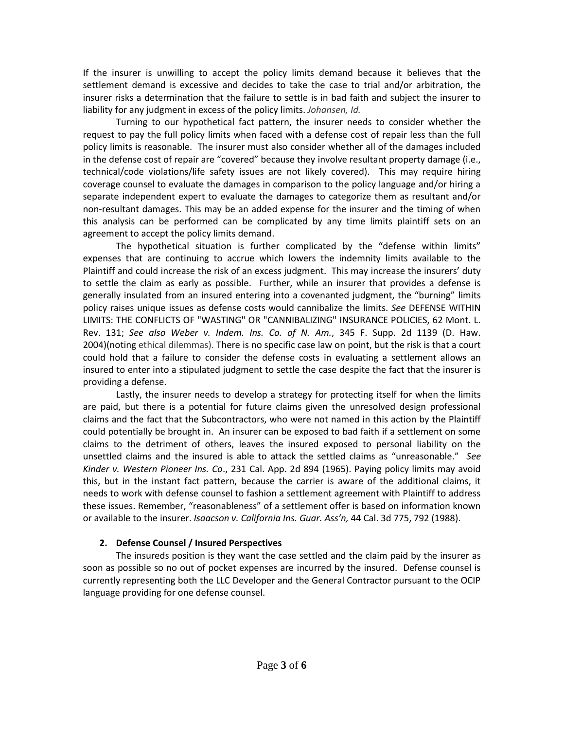If the insurer is unwilling to accept the policy limits demand because it believes that the settlement demand is excessive and decides to take the case to trial and/or arbitration, the insurer risks a determination that the failure to settle is in bad faith and subject the insurer to liability for any judgment in excess of the policy limits. *Johansen, Id.*

Turning to our hypothetical fact pattern, the insurer needs to consider whether the request to pay the full policy limits when faced with a defense cost of repair less than the full policy limits is reasonable. The insurer must also consider whether all of the damages included in the defense cost of repair are "covered" because they involve resultant property damage (i.e., technical/code violations/life safety issues are not likely covered). This may require hiring coverage counsel to evaluate the damages in comparison to the policy language and/or hiring a separate independent expert to evaluate the damages to categorize them as resultant and/or non-resultant damages. This may be an added expense for the insurer and the timing of when this analysis can be performed can be complicated by any time limits plaintiff sets on an agreement to accept the policy limits demand.

The hypothetical situation is further complicated by the "defense within limits" expenses that are continuing to accrue which lowers the indemnity limits available to the Plaintiff and could increase the risk of an excess judgment. This may increase the insurers' duty to settle the claim as early as possible. Further, while an insurer that provides a defense is generally insulated from an insured entering into a covenanted judgment, the "burning" limits policy raises unique issues as defense costs would cannibalize the limits. *See* DEFENSE WITHIN LIMITS: THE CONFLICTS OF "WASTING" OR "CANNIBALIZING" INSURANCE POLICIES, 62 Mont. L. Rev. 131; *See also Weber v. Indem. Ins. Co. of N. Am.*, 345 F. Supp. 2d 1139 (D. Haw. 2004)(noting ethical dilemmas). There is no specific case law on point, but the risk is that a court could hold that a failure to consider the defense costs in evaluating a settlement allows an insured to enter into a stipulated judgment to settle the case despite the fact that the insurer is providing a defense.

Lastly, the insurer needs to develop a strategy for protecting itself for when the limits are paid, but there is a potential for future claims given the unresolved design professional claims and the fact that the Subcontractors, who were not named in this action by the Plaintiff could potentially be brought in. An insurer can be exposed to bad faith if a settlement on some claims to the detriment of others, leaves the insured exposed to personal liability on the unsettled claims and the insured is able to attack the settled claims as "unreasonable." *See Kinder v. Western Pioneer Ins. Co*., 231 Cal. App. 2d 894 (1965). Paying policy limits may avoid this, but in the instant fact pattern, because the carrier is aware of the additional claims, it needs to work with defense counsel to fashion a settlement agreement with Plaintiff to address these issues. Remember, "reasonableness" of a settlement offer is based on information known or available to the insurer. *Isaacson v. California Ins. Guar. Ass'n,* 44 Cal. 3d 775, 792 (1988).

#### **2. Defense Counsel / Insured Perspectives**

The insureds position is they want the case settled and the claim paid by the insurer as soon as possible so no out of pocket expenses are incurred by the insured. Defense counsel is currently representing both the LLC Developer and the General Contractor pursuant to the OCIP language providing for one defense counsel.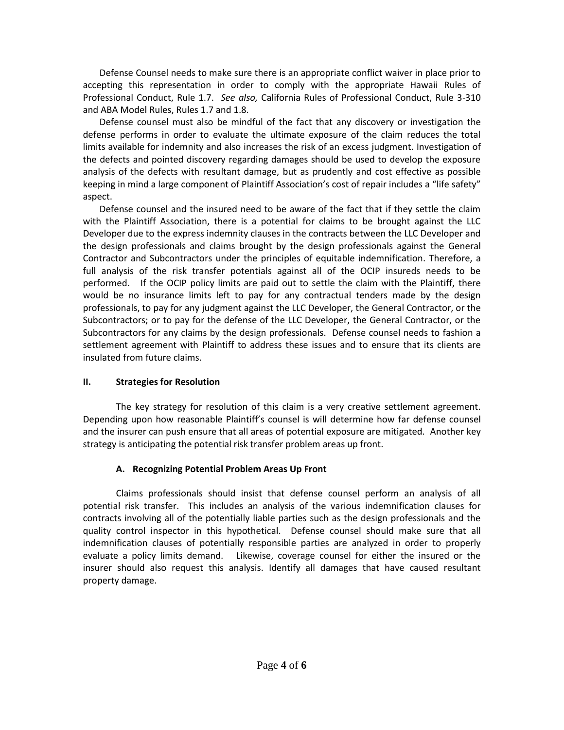Defense Counsel needs to make sure there is an appropriate conflict waiver in place prior to accepting this representation in order to comply with the appropriate Hawaii Rules of Professional Conduct, Rule 1.7. *See also,* California Rules of Professional Conduct, Rule 3-310 and ABA Model Rules, Rules 1.7 and 1.8.

Defense counsel must also be mindful of the fact that any discovery or investigation the defense performs in order to evaluate the ultimate exposure of the claim reduces the total limits available for indemnity and also increases the risk of an excess judgment. Investigation of the defects and pointed discovery regarding damages should be used to develop the exposure analysis of the defects with resultant damage, but as prudently and cost effective as possible keeping in mind a large component of Plaintiff Association's cost of repair includes a "life safety" aspect.

Defense counsel and the insured need to be aware of the fact that if they settle the claim with the Plaintiff Association, there is a potential for claims to be brought against the LLC Developer due to the express indemnity clauses in the contracts between the LLC Developer and the design professionals and claims brought by the design professionals against the General Contractor and Subcontractors under the principles of equitable indemnification. Therefore, a full analysis of the risk transfer potentials against all of the OCIP insureds needs to be performed. If the OCIP policy limits are paid out to settle the claim with the Plaintiff, there would be no insurance limits left to pay for any contractual tenders made by the design professionals, to pay for any judgment against the LLC Developer, the General Contractor, or the Subcontractors; or to pay for the defense of the LLC Developer, the General Contractor, or the Subcontractors for any claims by the design professionals. Defense counsel needs to fashion a settlement agreement with Plaintiff to address these issues and to ensure that its clients are insulated from future claims.

### **II. Strategies for Resolution**

The key strategy for resolution of this claim is a very creative settlement agreement. Depending upon how reasonable Plaintiff's counsel is will determine how far defense counsel and the insurer can push ensure that all areas of potential exposure are mitigated. Another key strategy is anticipating the potential risk transfer problem areas up front.

# **A. Recognizing Potential Problem Areas Up Front**

Claims professionals should insist that defense counsel perform an analysis of all potential risk transfer. This includes an analysis of the various indemnification clauses for contracts involving all of the potentially liable parties such as the design professionals and the quality control inspector in this hypothetical. Defense counsel should make sure that all indemnification clauses of potentially responsible parties are analyzed in order to properly evaluate a policy limits demand. Likewise, coverage counsel for either the insured or the insurer should also request this analysis. Identify all damages that have caused resultant property damage.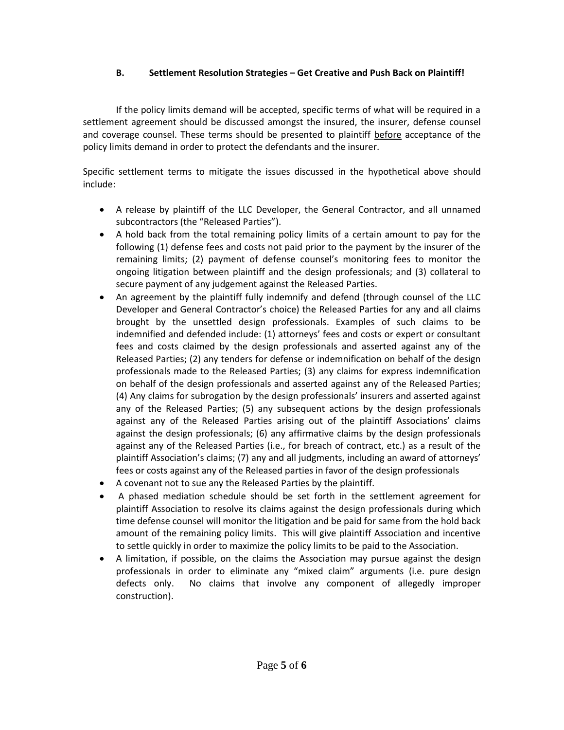## **B. Settlement Resolution Strategies – Get Creative and Push Back on Plaintiff!**

If the policy limits demand will be accepted, specific terms of what will be required in a settlement agreement should be discussed amongst the insured, the insurer, defense counsel and coverage counsel. These terms should be presented to plaintiff before acceptance of the policy limits demand in order to protect the defendants and the insurer.

Specific settlement terms to mitigate the issues discussed in the hypothetical above should include:

- A release by plaintiff of the LLC Developer, the General Contractor, and all unnamed subcontractors (the "Released Parties").
- A hold back from the total remaining policy limits of a certain amount to pay for the following (1) defense fees and costs not paid prior to the payment by the insurer of the remaining limits; (2) payment of defense counsel's monitoring fees to monitor the ongoing litigation between plaintiff and the design professionals; and (3) collateral to secure payment of any judgement against the Released Parties.
- An agreement by the plaintiff fully indemnify and defend (through counsel of the LLC Developer and General Contractor's choice) the Released Parties for any and all claims brought by the unsettled design professionals. Examples of such claims to be indemnified and defended include: (1) attorneys' fees and costs or expert or consultant fees and costs claimed by the design professionals and asserted against any of the Released Parties; (2) any tenders for defense or indemnification on behalf of the design professionals made to the Released Parties; (3) any claims for express indemnification on behalf of the design professionals and asserted against any of the Released Parties; (4) Any claims for subrogation by the design professionals' insurers and asserted against any of the Released Parties; (5) any subsequent actions by the design professionals against any of the Released Parties arising out of the plaintiff Associations' claims against the design professionals; (6) any affirmative claims by the design professionals against any of the Released Parties (i.e., for breach of contract, etc.) as a result of the plaintiff Association's claims; (7) any and all judgments, including an award of attorneys' fees or costs against any of the Released parties in favor of the design professionals
- A covenant not to sue any the Released Parties by the plaintiff.
- A phased mediation schedule should be set forth in the settlement agreement for plaintiff Association to resolve its claims against the design professionals during which time defense counsel will monitor the litigation and be paid for same from the hold back amount of the remaining policy limits. This will give plaintiff Association and incentive to settle quickly in order to maximize the policy limits to be paid to the Association.
- A limitation, if possible, on the claims the Association may pursue against the design professionals in order to eliminate any "mixed claim" arguments (i.e. pure design defects only. No claims that involve any component of allegedly improper construction).